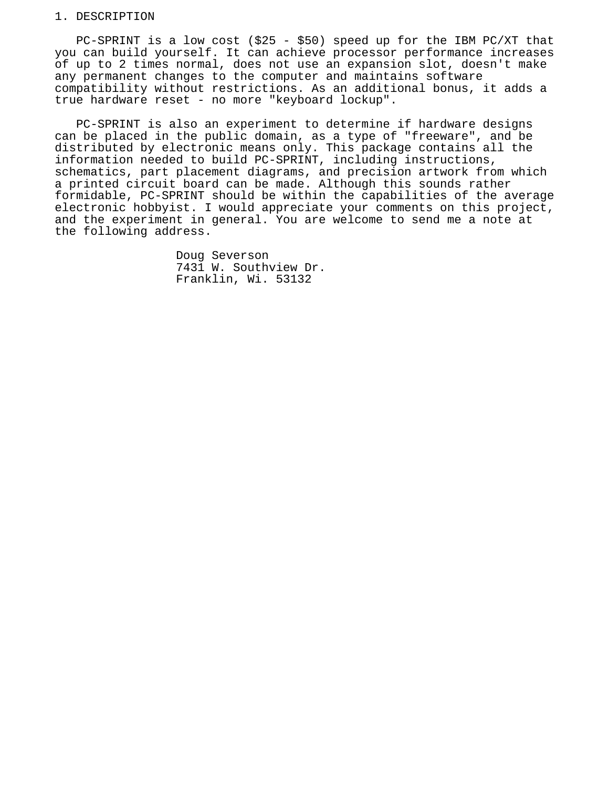#### 1. DESCRIPTION

 PC-SPRINT is a low cost (\$25 - \$50) speed up for the IBM PC/XT that you can build yourself. It can achieve processor performance increases of up to 2 times normal, does not use an expansion slot, doesn't make any permanent changes to the computer and maintains software compatibility without restrictions. As an additional bonus, it adds a true hardware reset - no more "keyboard lockup".

 PC-SPRINT is also an experiment to determine if hardware designs can be placed in the public domain, as a type of "freeware", and be distributed by electronic means only. This package contains all the information needed to build PC-SPRINT, including instructions, schematics, part placement diagrams, and precision artwork from which a printed circuit board can be made. Although this sounds rather formidable, PC-SPRINT should be within the capabilities of the average electronic hobbyist. I would appreciate your comments on this project, and the experiment in general. You are welcome to send me a note at the following address.

> Doug Severson 7431 W. Southview Dr. Franklin, Wi. 53132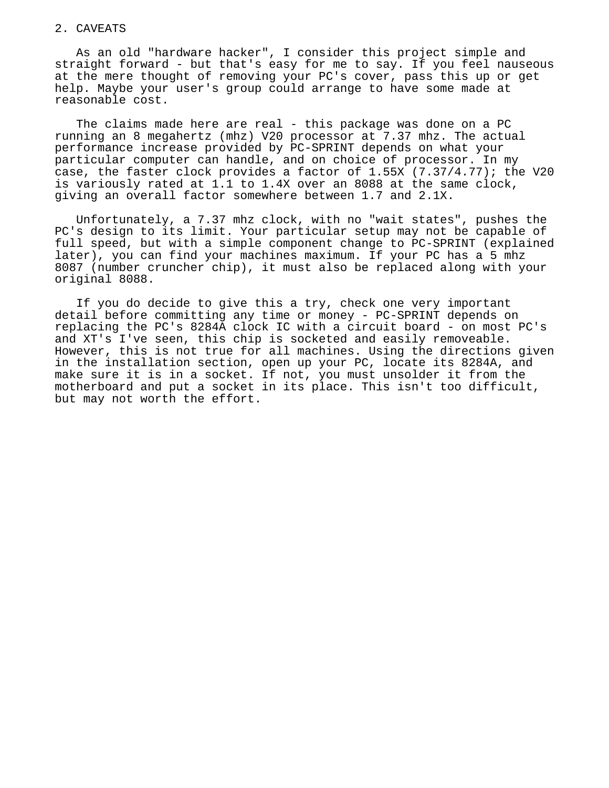### 2. CAVEATS

 As an old "hardware hacker", I consider this project simple and straight forward - but that's easy for me to say. If you feel nauseous at the mere thought of removing your PC's cover, pass this up or get help. Maybe your user's group could arrange to have some made at reasonable cost.

The claims made here are real - this package was done on a PC running an 8 megahertz (mhz) V20 processor at 7.37 mhz. The actual performance increase provided by PC-SPRINT depends on what your particular computer can handle, and on choice of processor. In my case, the faster clock provides a factor of  $1.55x$  (7.37/4.77); the V20 is variously rated at 1.1 to 1.4X over an 8088 at the same clock, giving an overall factor somewhere between 1.7 and 2.1X.

 Unfortunately, a 7.37 mhz clock, with no "wait states", pushes the PC's design to its limit. Your particular setup may not be capable of full speed, but with a simple component change to PC-SPRINT (explained later), you can find your machines maximum. If your PC has a 5 mhz 8087 (number cruncher chip), it must also be replaced along with your original 8088.

 If you do decide to give this a try, check one very important detail before committing any time or money - PC-SPRINT depends on replacing the PC's 8284A clock IC with a circuit board - on most PC's and XT's I've seen, this chip is socketed and easily removeable. However, this is not true for all machines. Using the directions given in the installation section, open up your PC, locate its 8284A, and make sure it is in a socket. If not, you must unsolder it from the motherboard and put a socket in its place. This isn't too difficult, but may not worth the effort.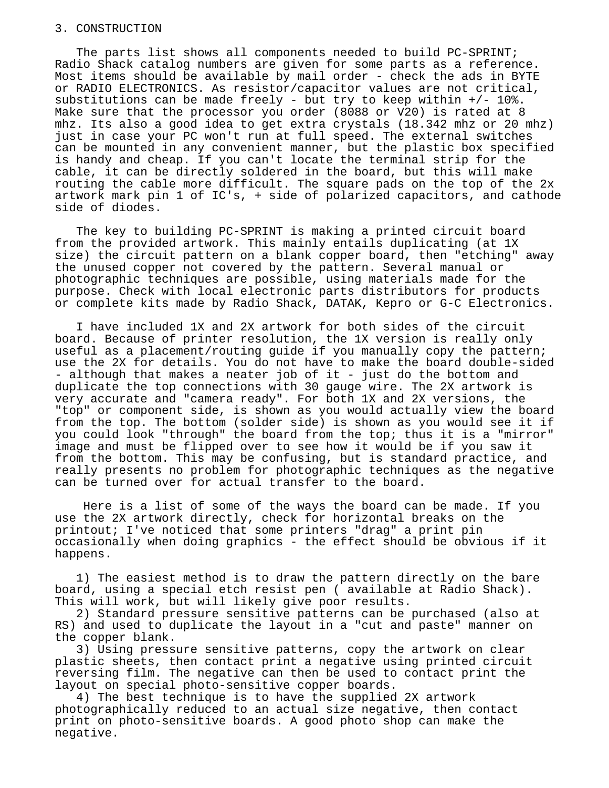#### 3. CONSTRUCTION

 The parts list shows all components needed to build PC-SPRINT; Radio Shack catalog numbers are given for some parts as a reference. Most items should be available by mail order - check the ads in BYTE or RADIO ELECTRONICS. As resistor/capacitor values are not critical, substitutions can be made freely - but try to keep within  $+/- 10$ %. Make sure that the processor you order (8088 or V20) is rated at 8 mhz. Its also a good idea to get extra crystals (18.342 mhz or 20 mhz) just in case your PC won't run at full speed. The external switches can be mounted in any convenient manner, but the plastic box specified is handy and cheap. If you can't locate the terminal strip for the cable, it can be directly soldered in the board, but this will make routing the cable more difficult. The square pads on the top of the 2x artwork mark pin 1 of IC's, + side of polarized capacitors, and cathode side of diodes.

 The key to building PC-SPRINT is making a printed circuit board from the provided artwork. This mainly entails duplicating (at 1X size) the circuit pattern on a blank copper board, then "etching" away the unused copper not covered by the pattern. Several manual or photographic techniques are possible, using materials made for the purpose. Check with local electronic parts distributors for products or complete kits made by Radio Shack, DATAK, Kepro or G-C Electronics.

 I have included 1X and 2X artwork for both sides of the circuit board. Because of printer resolution, the 1X version is really only useful as a placement/routing guide if you manually copy the pattern; use the 2X for details. You do not have to make the board double-sided - although that makes a neater job of it - just do the bottom and duplicate the top connections with 30 gauge wire. The 2X artwork is very accurate and "camera ready". For both 1X and 2X versions, the "top" or component side, is shown as you would actually view the board from the top. The bottom (solder side) is shown as you would see it if you could look "through" the board from the top; thus it is a "mirror" image and must be flipped over to see how it would be if you saw it from the bottom. This may be confusing, but is standard practice, and really presents no problem for photographic techniques as the negative can be turned over for actual transfer to the board.

 Here is a list of some of the ways the board can be made. If you use the 2X artwork directly, check for horizontal breaks on the printout; I've noticed that some printers "drag" a print pin occasionally when doing graphics - the effect should be obvious if it happens.

 1) The easiest method is to draw the pattern directly on the bare board, using a special etch resist pen ( available at Radio Shack). This will work, but will likely give poor results.

 2) Standard pressure sensitive patterns can be purchased (also at RS) and used to duplicate the layout in a "cut and paste" manner on the copper blank.

 3) Using pressure sensitive patterns, copy the artwork on clear plastic sheets, then contact print a negative using printed circuit reversing film. The negative can then be used to contact print the layout on special photo-sensitive copper boards.

 4) The best technique is to have the supplied 2X artwork photographically reduced to an actual size negative, then contact print on photo-sensitive boards. A good photo shop can make the negative.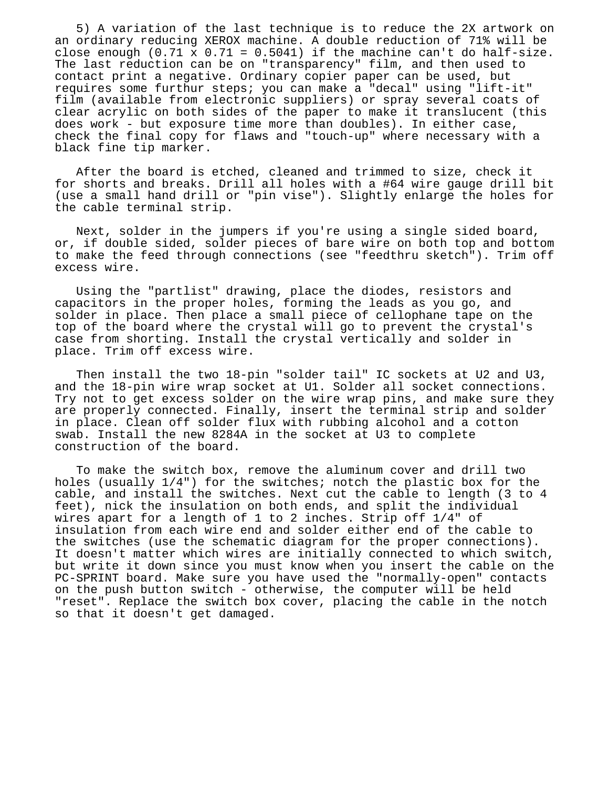5) A variation of the last technique is to reduce the 2X artwork on an ordinary reducing XEROX machine. A double reduction of 71% will be close enough  $(0.71 \times 0.71 = 0.5041)$  if the machine can't do half-size. The last reduction can be on "transparency" film, and then used to contact print a negative. Ordinary copier paper can be used, but requires some furthur steps; you can make a "decal" using "lift-it" film (available from electronic suppliers) or spray several coats of clear acrylic on both sides of the paper to make it translucent (this does work - but exposure time more than doubles). In either case, check the final copy for flaws and "touch-up" where necessary with a black fine tip marker.

 After the board is etched, cleaned and trimmed to size, check it for shorts and breaks. Drill all holes with a #64 wire gauge drill bit (use a small hand drill or "pin vise"). Slightly enlarge the holes for the cable terminal strip.

 Next, solder in the jumpers if you're using a single sided board, or, if double sided, solder pieces of bare wire on both top and bottom to make the feed through connections (see "feedthru sketch"). Trim off excess wire.

 Using the "partlist" drawing, place the diodes, resistors and capacitors in the proper holes, forming the leads as you go, and solder in place. Then place a small piece of cellophane tape on the top of the board where the crystal will go to prevent the crystal's case from shorting. Install the crystal vertically and solder in place. Trim off excess wire.

Then install the two 18-pin "solder tail" IC sockets at U2 and U3, and the 18-pin wire wrap socket at U1. Solder all socket connections. Try not to get excess solder on the wire wrap pins, and make sure they are properly connected. Finally, insert the terminal strip and solder in place. Clean off solder flux with rubbing alcohol and a cotton swab. Install the new 8284A in the socket at U3 to complete construction of the board.

 To make the switch box, remove the aluminum cover and drill two holes (usually 1/4") for the switches; notch the plastic box for the cable, and install the switches. Next cut the cable to length (3 to 4 feet), nick the insulation on both ends, and split the individual wires apart for a length of 1 to 2 inches. Strip off 1/4" of insulation from each wire end and solder either end of the cable to the switches (use the schematic diagram for the proper connections). It doesn't matter which wires are initially connected to which switch, but write it down since you must know when you insert the cable on the PC-SPRINT board. Make sure you have used the "normally-open" contacts on the push button switch - otherwise, the computer will be held "reset". Replace the switch box cover, placing the cable in the notch so that it doesn't get damaged.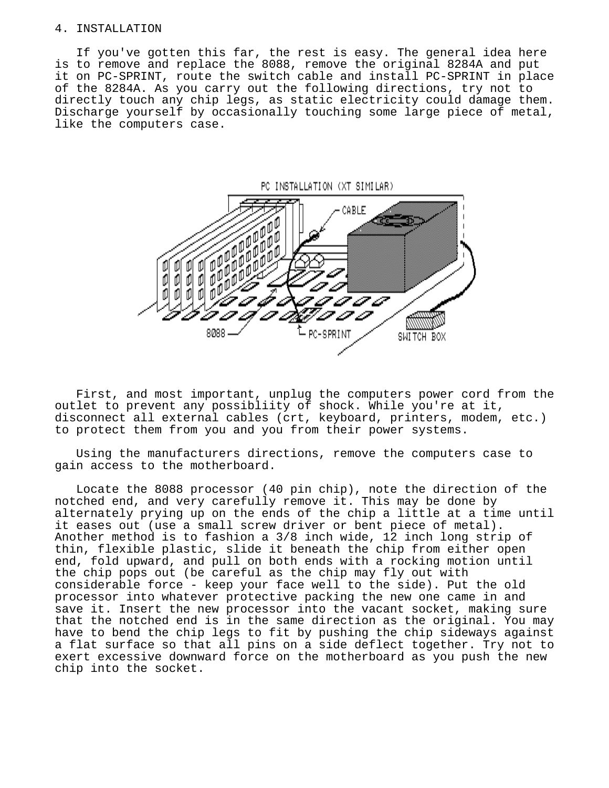#### 4. INSTALLATION

 If you've gotten this far, the rest is easy. The general idea here is to remove and replace the 8088, remove the original 8284A and put it on PC-SPRINT, route the switch cable and install PC-SPRINT in place of the 8284A. As you carry out the following directions, try not to directly touch any chip legs, as static electricity could damage them. Discharge yourself by occasionally touching some large piece of metal, like the computers case.



 First, and most important, unplug the computers power cord from the outlet to prevent any possibliity of shock. While you're at it, disconnect all external cables (crt, keyboard, printers, modem, etc.) to protect them from you and you from their power systems.

 Using the manufacturers directions, remove the computers case to gain access to the motherboard.

 Locate the 8088 processor (40 pin chip), note the direction of the notched end, and very carefully remove it. This may be done by alternately prying up on the ends of the chip a little at a time until it eases out (use a small screw driver or bent piece of metal). Another method is to fashion a 3/8 inch wide, 12 inch long strip of thin, flexible plastic, slide it beneath the chip from either open end, fold upward, and pull on both ends with a rocking motion until the chip pops out (be careful as the chip may fly out with considerable force - keep your face well to the side). Put the old processor into whatever protective packing the new one came in and save it. Insert the new processor into the vacant socket, making sure that the notched end is in the same direction as the original. You may have to bend the chip legs to fit by pushing the chip sideways against a flat surface so that all pins on a side deflect together. Try not to exert excessive downward force on the motherboard as you push the new chip into the socket.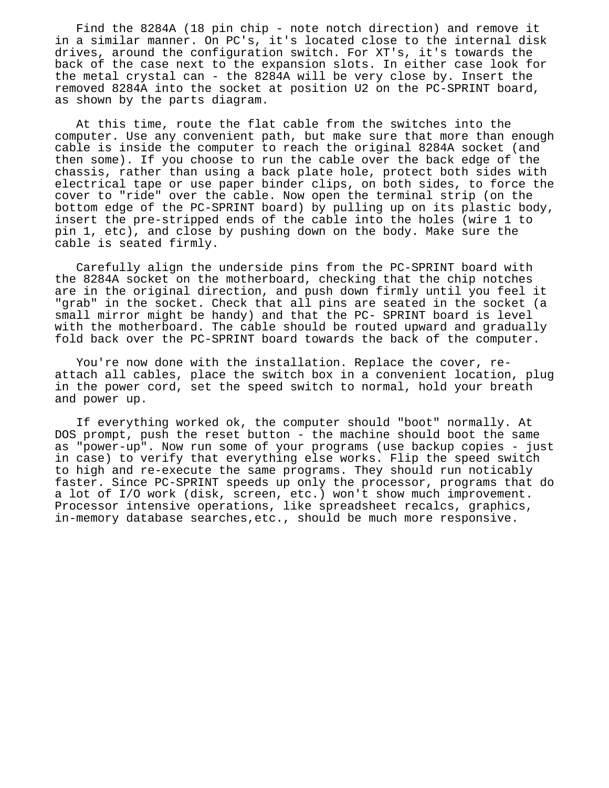Find the 8284A (18 pin chip - note notch direction) and remove it in a similar manner. On PC's, it's located close to the internal disk drives, around the configuration switch. For XT's, it's towards the back of the case next to the expansion slots. In either case look for the metal crystal can - the 8284A will be very close by. Insert the removed 8284A into the socket at position U2 on the PC-SPRINT board, as shown by the parts diagram.

 At this time, route the flat cable from the switches into the computer. Use any convenient path, but make sure that more than enough cable is inside the computer to reach the original 8284A socket (and then some). If you choose to run the cable over the back edge of the chassis, rather than using a back plate hole, protect both sides with electrical tape or use paper binder clips, on both sides, to force the cover to "ride" over the cable. Now open the terminal strip (on the bottom edge of the PC-SPRINT board) by pulling up on its plastic body, insert the pre-stripped ends of the cable into the holes (wire 1 to pin 1, etc), and close by pushing down on the body. Make sure the cable is seated firmly.

 Carefully align the underside pins from the PC-SPRINT board with the 8284A socket on the motherboard, checking that the chip notches are in the original direction, and push down firmly until you feel it "grab" in the socket. Check that all pins are seated in the socket (a small mirror might be handy) and that the PC- SPRINT board is level with the motherboard. The cable should be routed upward and gradually fold back over the PC-SPRINT board towards the back of the computer.

 You're now done with the installation. Replace the cover, re attach all cables, place the switch box in a convenient location, plug in the power cord, set the speed switch to normal, hold your breath and power up.

 If everything worked ok, the computer should "boot" normally. At DOS prompt, push the reset button - the machine should boot the same as "power-up". Now run some of your programs (use backup copies - just in case) to verify that everything else works. Flip the speed switch to high and re-execute the same programs. They should run noticably faster. Since PC-SPRINT speeds up only the processor, programs that do a lot of I/O work (disk, screen, etc.) won't show much improvement. Processor intensive operations, like spreadsheet recalcs, graphics, in-memory database searches,etc., should be much more responsive.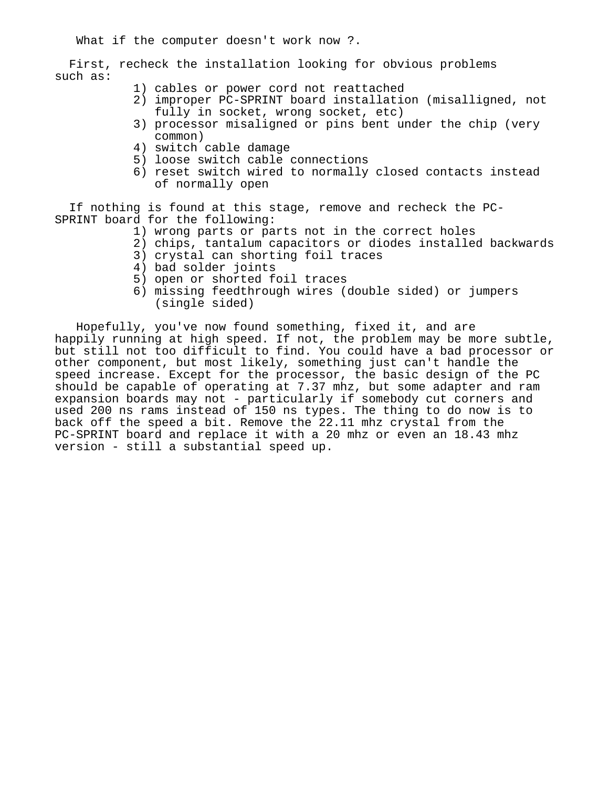What if the computer doesn't work now ?.

 First, recheck the installation looking for obvious problems such as:

- 1) cables or power cord not reattached
- 2) improper PC-SPRINT board installation (misalligned, not fully in socket, wrong socket, etc)
- 3) processor misaligned or pins bent under the chip (very common)
- 4) switch cable damage
- 5) loose switch cable connections
- 6) reset switch wired to normally closed contacts instead of normally open

 If nothing is found at this stage, remove and recheck the PC- SPRINT board for the following:

- 1) wrong parts or parts not in the correct holes
- 2) chips, tantalum capacitors or diodes installed backwards
- 3) crystal can shorting foil traces
- 4) bad solder joints
- 5) open or shorted foil traces
- 6) missing feedthrough wires (double sided) or jumpers (single sided)

 Hopefully, you've now found something, fixed it, and are happily running at high speed. If not, the problem may be more subtle, but still not too difficult to find. You could have a bad processor or other component, but most likely, something just can't handle the speed increase. Except for the processor, the basic design of the PC should be capable of operating at 7.37 mhz, but some adapter and ram expansion boards may not - particularly if somebody cut corners and used 200 ns rams instead of 150 ns types. The thing to do now is to back off the speed a bit. Remove the 22.11 mhz crystal from the PC-SPRINT board and replace it with a 20 mhz or even an 18.43 mhz version - still a substantial speed up.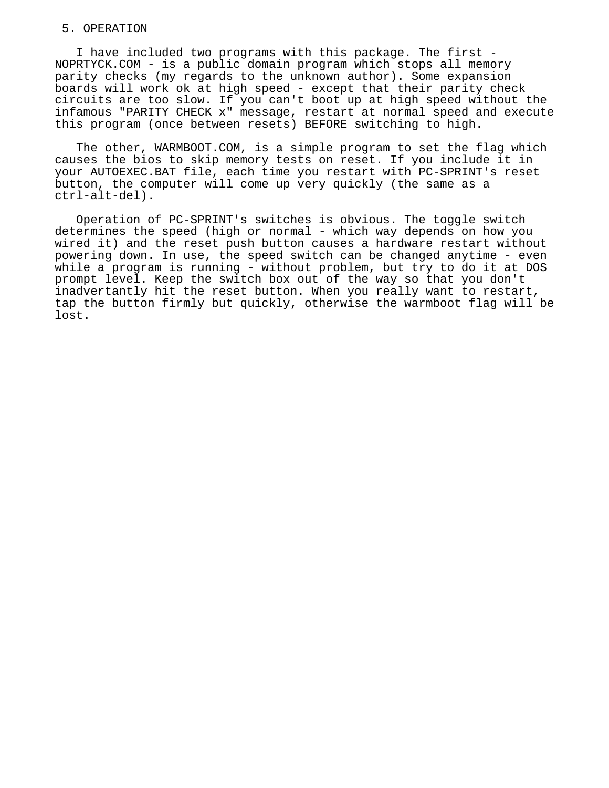### 5. OPERATION

 I have included two programs with this package. The first - NOPRTYCK.COM - is a public domain program which stops all memory parity checks (my regards to the unknown author). Some expansion boards will work ok at high speed - except that their parity check circuits are too slow. If you can't boot up at high speed without the infamous "PARITY CHECK x" message, restart at normal speed and execute this program (once between resets) BEFORE switching to high.

 The other, WARMBOOT.COM, is a simple program to set the flag which causes the bios to skip memory tests on reset. If you include it in your AUTOEXEC.BAT file, each time you restart with PC-SPRINT's reset button, the computer will come up very quickly (the same as a ctrl-alt-del).

 Operation of PC-SPRINT's switches is obvious. The toggle switch determines the speed (high or normal - which way depends on how you wired it) and the reset push button causes a hardware restart without powering down. In use, the speed switch can be changed anytime - even while a program is running - without problem, but try to do it at DOS prompt level. Keep the switch box out of the way so that you don't inadvertantly hit the reset button. When you really want to restart, tap the button firmly but quickly, otherwise the warmboot flag will be lost.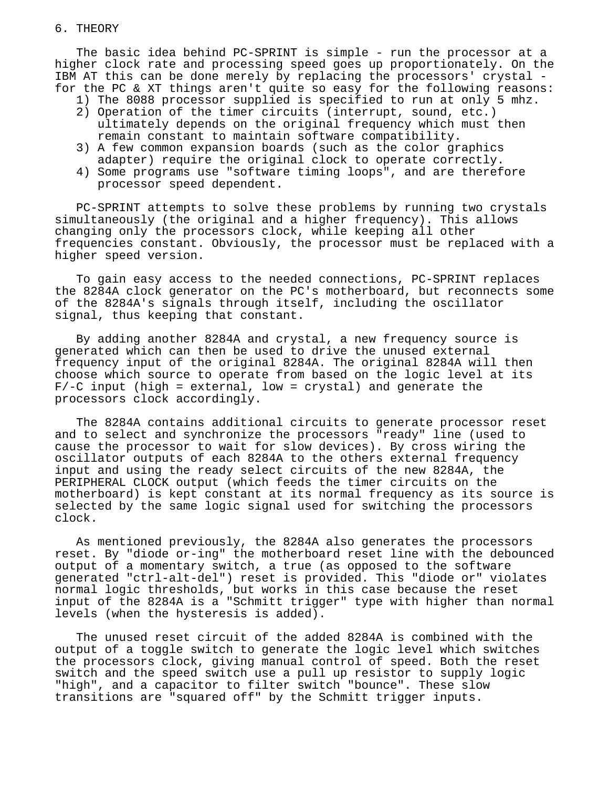### 6. THEORY

 The basic idea behind PC-SPRINT is simple - run the processor at a higher clock rate and processing speed goes up proportionately. On the IBM AT this can be done merely by replacing the processors' crystal for the PC & XT things aren't quite so easy for the following reasons:

- 1) The 8088 processor supplied is specified to run at only 5 mhz.
- 2) Operation of the timer circuits (interrupt, sound, etc.) ultimately depends on the original frequency which must then remain constant to maintain software compatibility.
- 3) A few common expansion boards (such as the color graphics adapter) require the original clock to operate correctly.
- 4) Some programs use "software timing loops", and are therefore processor speed dependent.

 PC-SPRINT attempts to solve these problems by running two crystals simultaneously (the original and a higher frequency). This allows changing only the processors clock, while keeping all other frequencies constant. Obviously, the processor must be replaced with a higher speed version.

 To gain easy access to the needed connections, PC-SPRINT replaces the 8284A clock generator on the PC's motherboard, but reconnects some of the 8284A's signals through itself, including the oscillator signal, thus keeping that constant.

 By adding another 8284A and crystal, a new frequency source is generated which can then be used to drive the unused external frequency input of the original 8284A. The original 8284A will then choose which source to operate from based on the logic level at its  $F/-C$  input (high = external, low = crystal) and generate the processors clock accordingly.

 The 8284A contains additional circuits to generate processor reset and to select and synchronize the processors "ready" line (used to cause the processor to wait for slow devices). By cross wiring the oscillator outputs of each 8284A to the others external frequency input and using the ready select circuits of the new 8284A, the PERIPHERAL CLOCK output (which feeds the timer circuits on the motherboard) is kept constant at its normal frequency as its source is selected by the same logic signal used for switching the processors clock.

 As mentioned previously, the 8284A also generates the processors reset. By "diode or-ing" the motherboard reset line with the debounced output of a momentary switch, a true (as opposed to the software generated "ctrl-alt-del") reset is provided. This "diode or" violates normal logic thresholds, but works in this case because the reset input of the 8284A is a "Schmitt trigger" type with higher than normal levels (when the hysteresis is added).

 The unused reset circuit of the added 8284A is combined with the output of a toggle switch to generate the logic level which switches the processors clock, giving manual control of speed. Both the reset switch and the speed switch use a pull up resistor to supply logic "high", and a capacitor to filter switch "bounce". These slow transitions are "squared off" by the Schmitt trigger inputs.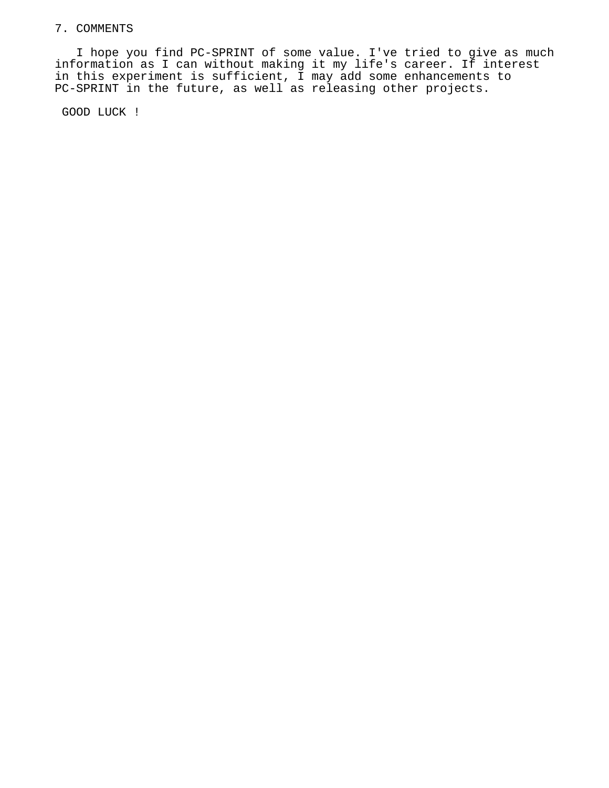# 7. COMMENTS

 I hope you find PC-SPRINT of some value. I've tried to give as much information as I can without making it my life's career. If interest in this experiment is sufficient, I may add some enhancements to PC-SPRINT in the future, as well as releasing other projects.

GOOD LUCK !